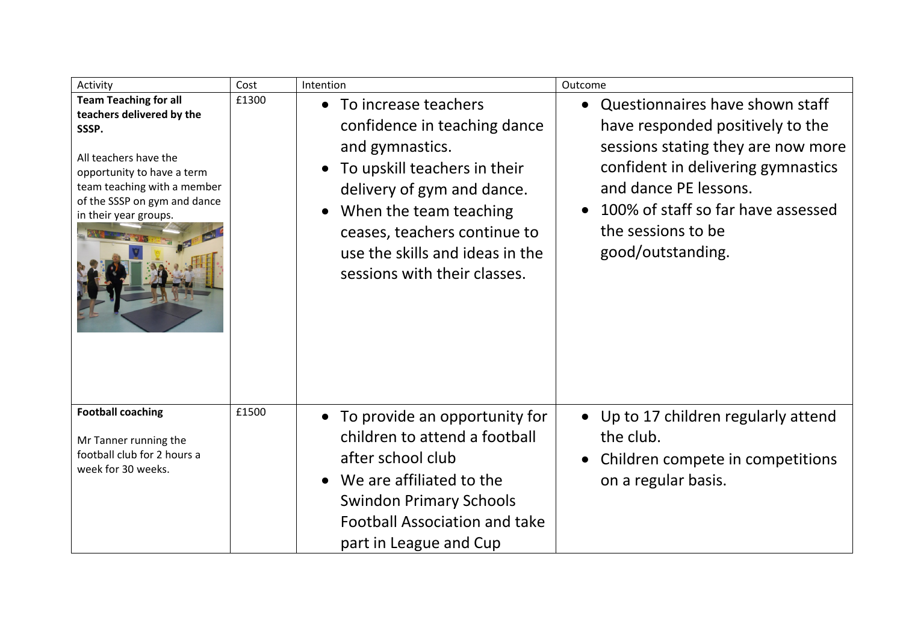| Activity                                                                                                                                                                                                          | Cost  | Intention                                                                                                                                                                                                                                                                                      | Outcome                                                                                                                                                                                                                                                                |
|-------------------------------------------------------------------------------------------------------------------------------------------------------------------------------------------------------------------|-------|------------------------------------------------------------------------------------------------------------------------------------------------------------------------------------------------------------------------------------------------------------------------------------------------|------------------------------------------------------------------------------------------------------------------------------------------------------------------------------------------------------------------------------------------------------------------------|
| <b>Team Teaching for all</b><br>teachers delivered by the<br>SSSP.<br>All teachers have the<br>opportunity to have a term<br>team teaching with a member<br>of the SSSP on gym and dance<br>in their year groups. | £1300 | • To increase teachers<br>confidence in teaching dance<br>and gymnastics.<br>To upskill teachers in their<br>$\bullet$<br>delivery of gym and dance.<br>When the team teaching<br>$\bullet$<br>ceases, teachers continue to<br>use the skills and ideas in the<br>sessions with their classes. | Questionnaires have shown staff<br>$\bullet$<br>have responded positively to the<br>sessions stating they are now more<br>confident in delivering gymnastics<br>and dance PE lessons.<br>100% of staff so far have assessed<br>the sessions to be<br>good/outstanding. |
| <b>Football coaching</b><br>Mr Tanner running the<br>football club for 2 hours a<br>week for 30 weeks.                                                                                                            | £1500 | • To provide an opportunity for<br>children to attend a football<br>after school club<br>We are affiliated to the<br>$\bullet$<br><b>Swindon Primary Schools</b><br><b>Football Association and take</b><br>part in League and Cup                                                             | • Up to 17 children regularly attend<br>the club.<br>Children compete in competitions<br>$\bullet$<br>on a regular basis.                                                                                                                                              |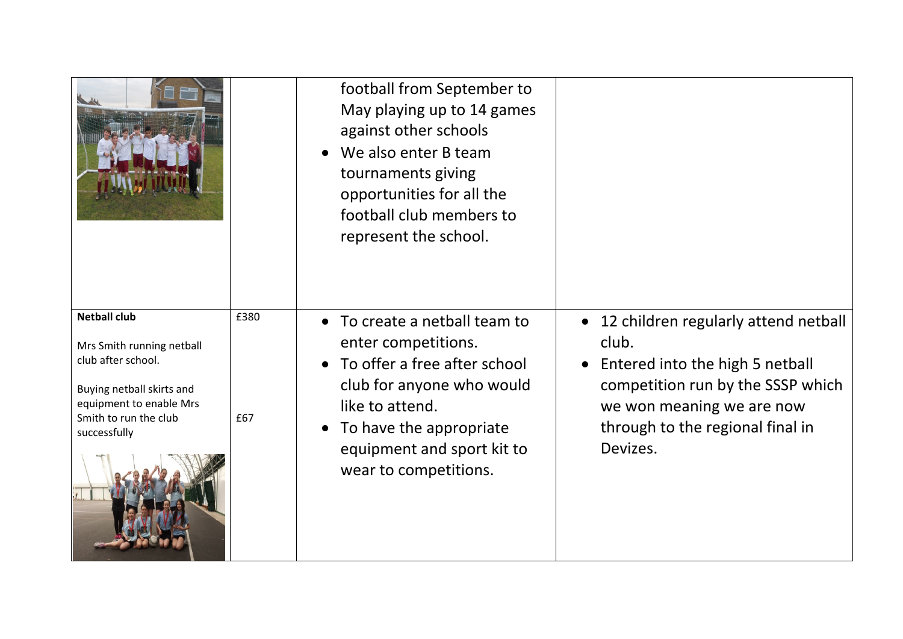|                                                                                                                                                                         |             | football from September to<br>May playing up to 14 games<br>against other schools<br>We also enter B team<br>tournaments giving<br>opportunities for all the<br>football club members to<br>represent the school.                              |                                                                                                                                                                                                      |
|-------------------------------------------------------------------------------------------------------------------------------------------------------------------------|-------------|------------------------------------------------------------------------------------------------------------------------------------------------------------------------------------------------------------------------------------------------|------------------------------------------------------------------------------------------------------------------------------------------------------------------------------------------------------|
| <b>Netball club</b><br>Mrs Smith running netball<br>club after school.<br>Buying netball skirts and<br>equipment to enable Mrs<br>Smith to run the club<br>successfully | £380<br>£67 | To create a netball team to<br>$\bullet$<br>enter competitions.<br>To offer a free after school<br>club for anyone who would<br>like to attend.<br>To have the appropriate<br>$\bullet$<br>equipment and sport kit to<br>wear to competitions. | • 12 children regularly attend netball<br>club.<br>Entered into the high 5 netball<br>competition run by the SSSP which<br>we won meaning we are now<br>through to the regional final in<br>Devizes. |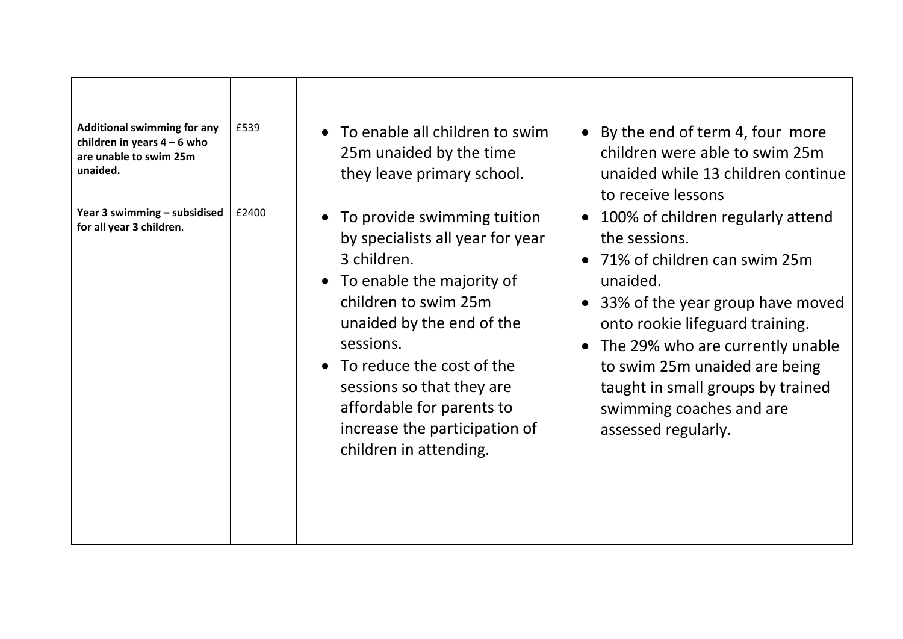| <b>Additional swimming for any</b><br>children in years $4 - 6$ who<br>are unable to swim 25m<br>unaided. | £539  | • To enable all children to swim<br>25m unaided by the time<br>they leave primary school.                                                                                                                                                                                                                                             | • By the end of term 4, four more<br>children were able to swim 25m<br>unaided while 13 children continue<br>to receive lessons                                                                                                                                                                                                                     |
|-----------------------------------------------------------------------------------------------------------|-------|---------------------------------------------------------------------------------------------------------------------------------------------------------------------------------------------------------------------------------------------------------------------------------------------------------------------------------------|-----------------------------------------------------------------------------------------------------------------------------------------------------------------------------------------------------------------------------------------------------------------------------------------------------------------------------------------------------|
| Year 3 swimming - subsidised<br>for all year 3 children.                                                  | £2400 | • To provide swimming tuition<br>by specialists all year for year<br>3 children.<br>• To enable the majority of<br>children to swim 25m<br>unaided by the end of the<br>sessions.<br>• To reduce the cost of the<br>sessions so that they are<br>affordable for parents to<br>increase the participation of<br>children in attending. | 100% of children regularly attend<br>$\bullet$<br>the sessions.<br>• 71% of children can swim 25m<br>unaided.<br>• 33% of the year group have moved<br>onto rookie lifeguard training.<br>The 29% who are currently unable<br>to swim 25m unaided are being<br>taught in small groups by trained<br>swimming coaches and are<br>assessed regularly. |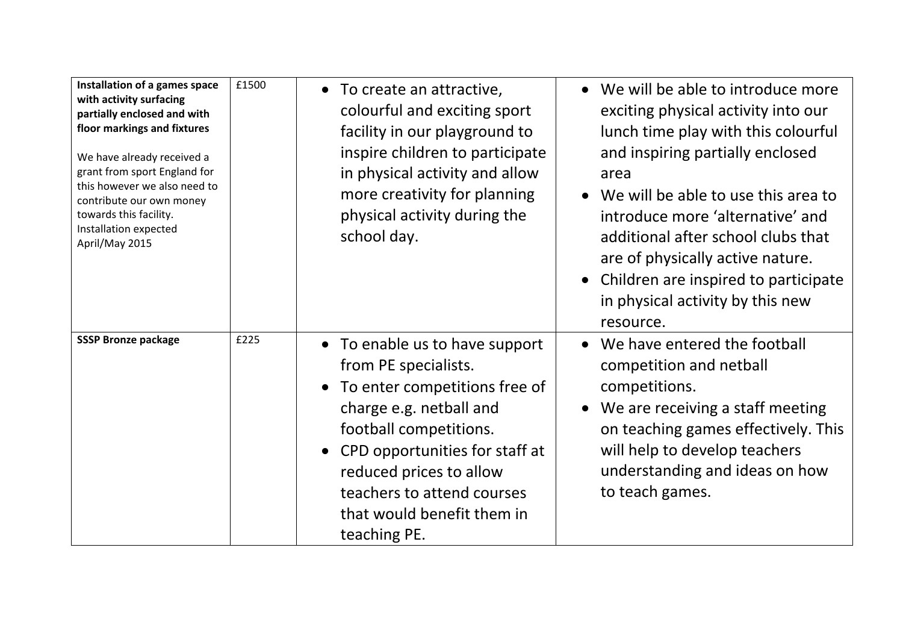| Installation of a games space<br>with activity surfacing<br>partially enclosed and with<br>floor markings and fixtures<br>We have already received a<br>grant from sport England for<br>this however we also need to<br>contribute our own money<br>towards this facility.<br>Installation expected<br>April/May 2015 | £1500 | • To create an attractive,<br>colourful and exciting sport<br>facility in our playground to<br>inspire children to participate<br>in physical activity and allow<br>more creativity for planning<br>physical activity during the<br>school day.                                                      | We will be able to introduce more<br>exciting physical activity into our<br>lunch time play with this colourful<br>and inspiring partially enclosed<br>area<br>We will be able to use this area to<br>introduce more 'alternative' and<br>additional after school clubs that<br>are of physically active nature.<br>Children are inspired to participate<br>in physical activity by this new<br>resource. |
|-----------------------------------------------------------------------------------------------------------------------------------------------------------------------------------------------------------------------------------------------------------------------------------------------------------------------|-------|------------------------------------------------------------------------------------------------------------------------------------------------------------------------------------------------------------------------------------------------------------------------------------------------------|-----------------------------------------------------------------------------------------------------------------------------------------------------------------------------------------------------------------------------------------------------------------------------------------------------------------------------------------------------------------------------------------------------------|
| <b>SSSP Bronze package</b>                                                                                                                                                                                                                                                                                            | £225  | • To enable us to have support<br>from PE specialists.<br>To enter competitions free of<br>$\bullet$<br>charge e.g. netball and<br>football competitions.<br>• CPD opportunities for staff at<br>reduced prices to allow<br>teachers to attend courses<br>that would benefit them in<br>teaching PE. | We have entered the football<br>competition and netball<br>competitions.<br>We are receiving a staff meeting<br>on teaching games effectively. This<br>will help to develop teachers<br>understanding and ideas on how<br>to teach games.                                                                                                                                                                 |